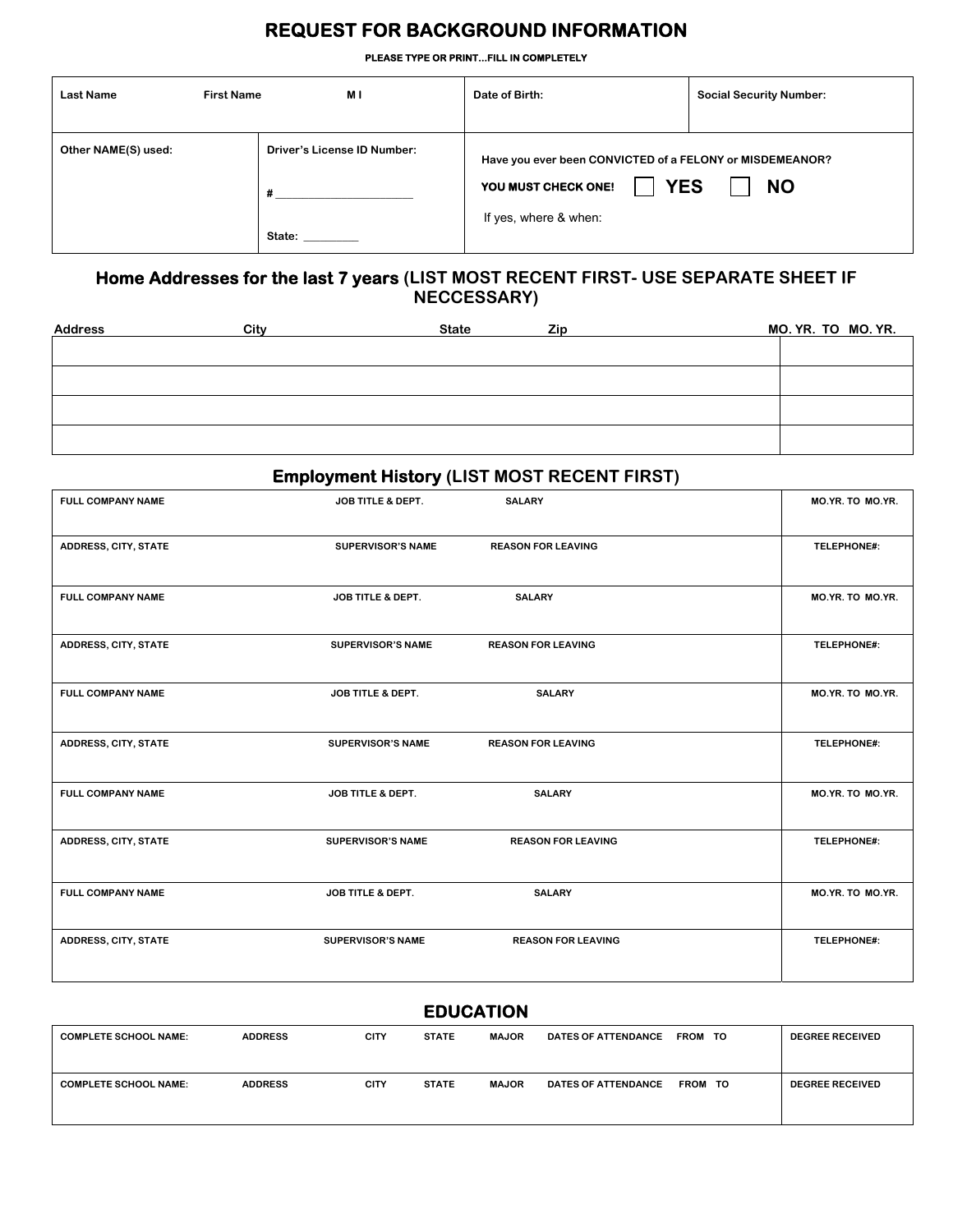## **REQUEST FOR BACKGROUND INFORMATION**

**PLEASE TYPE OR PRINT...FILL IN COMPLETELY** 

| <b>Last Name</b>    | M I<br><b>First Name</b>                | Date of Birth:                                                                                                         | <b>Social Security Number:</b> |
|---------------------|-----------------------------------------|------------------------------------------------------------------------------------------------------------------------|--------------------------------|
| Other NAME(S) used: | <b>Driver's License ID Number:</b><br># | Have you ever been CONVICTED of a FELONY or MISDEMEANOR?<br><b>YES</b><br>YOU MUST CHECK ONE!<br>If yes, where & when: | <b>NO</b>                      |
|                     | State:                                  |                                                                                                                        |                                |

#### **Home Addresses for the last 7 years (LIST MOST RECENT FIRST- USE SEPARATE SHEET IF NECCESSARY)**

| City | <b>State</b> | <b>Zip</b> | MO. YR. TO MO. YR. |
|------|--------------|------------|--------------------|
|      |              |            |                    |
|      |              |            |                    |
|      |              |            |                    |
|      |              |            |                    |
|      |              |            |                    |
|      |              |            |                    |

### **Employment History (LIST MOST RECENT FIRST)**

|                           | MO.YR. TO MO.YR. |
|---------------------------|------------------|
| <b>REASON FOR LEAVING</b> | TELEPHONE#:      |
| <b>SALARY</b>             | MO.YR. TO MO.YR. |
| <b>REASON FOR LEAVING</b> | TELEPHONE#:      |
| <b>SALARY</b>             | MO.YR. TO MO.YR. |
| <b>REASON FOR LEAVING</b> | TELEPHONE#:      |
| <b>SALARY</b>             | MO.YR. TO MO.YR. |
| <b>REASON FOR LEAVING</b> | TELEPHONE#:      |
| <b>SALARY</b>             | MO.YR. TO MO.YR. |
| <b>REASON FOR LEAVING</b> | TELEPHONE#:      |
|                           | <b>SALARY</b>    |

#### **EDUCATION**

| <b>COMPLETE SCHOOL NAME:</b> | <b>ADDRESS</b> | <b>CITY</b> | <b>STATE</b> | <b>MAJOR</b> | <b>DATES OF ATTENDANCE</b> | <b>FROM TO</b> | <b>DEGREE RECEIVED</b> |
|------------------------------|----------------|-------------|--------------|--------------|----------------------------|----------------|------------------------|
| <b>COMPLETE SCHOOL NAME:</b> | <b>ADDRESS</b> | <b>CITY</b> | <b>STATE</b> | <b>MAJOR</b> | <b>DATES OF ATTENDANCE</b> | FROM TO        | <b>DEGREE RECEIVED</b> |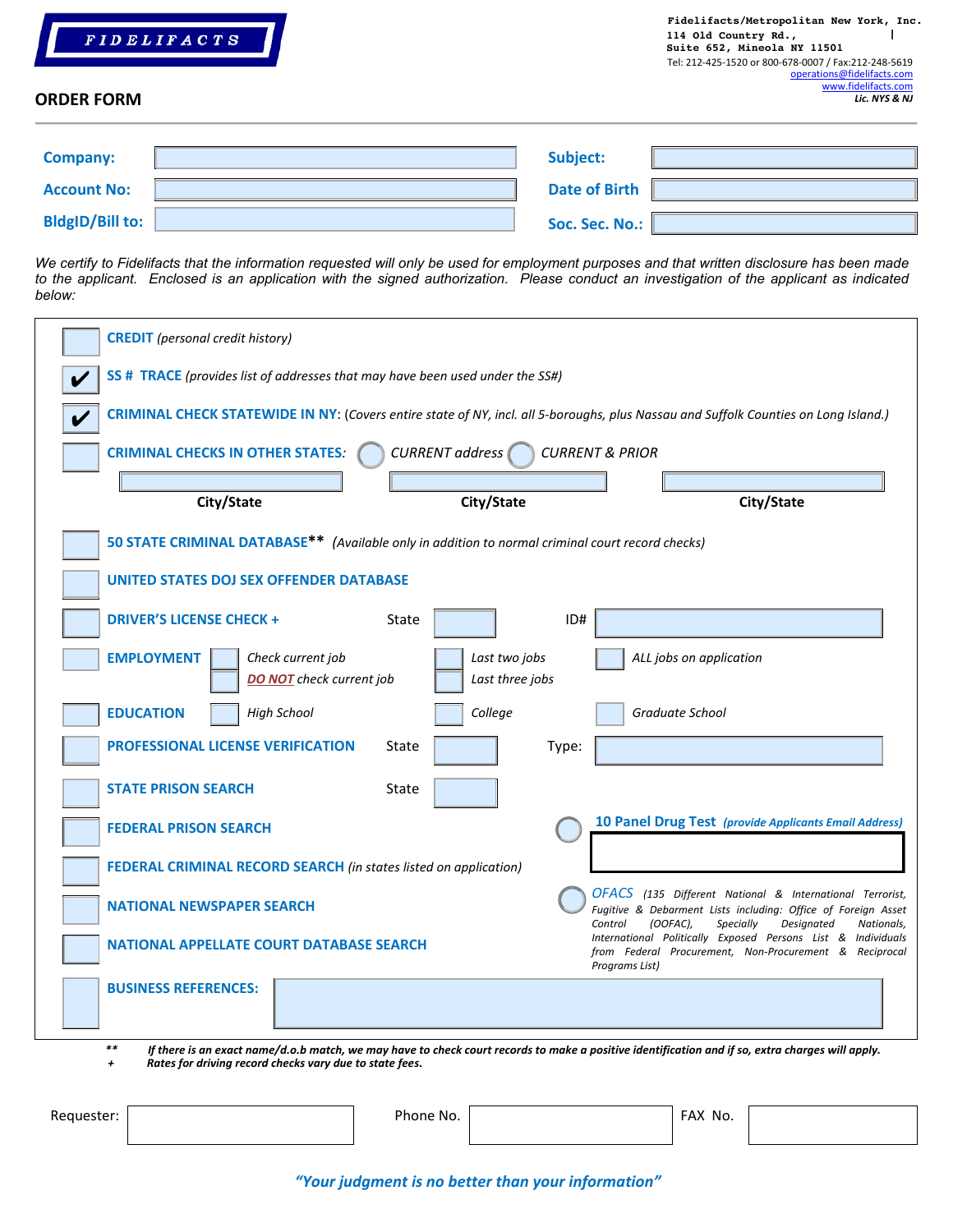

#### **ORDER FORM**

| <b>Company:</b>        | Subject:             |  |
|------------------------|----------------------|--|
| <b>Account No:</b>     | <b>Date of Birth</b> |  |
| <b>BldgID/Bill to:</b> | Soc. Sec. No.:       |  |

*We certify to Fidelifacts that the information requested will only be used for employment purposes and that written disclosure has been made to the applicant. Enclosed is an application with the signed authorization. Please conduct an investigation of the applicant as indicated below:* 

| SS # TRACE (provides list of addresses that may have been used under the SS#)                    |                                  |                            | CRIMINAL CHECK STATEWIDE IN NY: (Covers entire state of NY, incl. all 5-boroughs, plus Nassau and Suffolk Counties on Long Island.)                                                          |
|--------------------------------------------------------------------------------------------------|----------------------------------|----------------------------|----------------------------------------------------------------------------------------------------------------------------------------------------------------------------------------------|
| <b>CRIMINAL CHECKS IN OTHER STATES:</b>                                                          | <b>CURRENT</b> address           | <b>CURRENT &amp; PRIOR</b> |                                                                                                                                                                                              |
|                                                                                                  |                                  |                            |                                                                                                                                                                                              |
| City/State                                                                                       | City/State                       |                            | City/State                                                                                                                                                                                   |
| 50 STATE CRIMINAL DATABASE** (Available only in addition to normal criminal court record checks) |                                  |                            |                                                                                                                                                                                              |
| <b>UNITED STATES DOJ SEX OFFENDER DATABASE</b>                                                   |                                  |                            |                                                                                                                                                                                              |
| <b>DRIVER'S LICENSE CHECK +</b>                                                                  | State                            | ID#                        |                                                                                                                                                                                              |
| <b>EMPLOYMENT</b><br>Check current job<br><b>DO NOT</b> check current job                        | Last two jobs<br>Last three jobs |                            | ALL jobs on application                                                                                                                                                                      |
| <b>High School</b><br><b>EDUCATION</b>                                                           | College                          |                            | Graduate School                                                                                                                                                                              |
| <b>PROFESSIONAL LICENSE VERIFICATION</b>                                                         | State                            | Type:                      |                                                                                                                                                                                              |
| <b>STATE PRISON SEARCH</b>                                                                       | State                            |                            |                                                                                                                                                                                              |
| <b>FEDERAL PRISON SEARCH</b>                                                                     |                                  |                            | <b>10 Panel Drug Test (provide Applicants Email Address)</b>                                                                                                                                 |
| <b>FEDERAL CRIMINAL RECORD SEARCH</b> (in states listed on application)                          |                                  |                            |                                                                                                                                                                                              |
| <b>NATIONAL NEWSPAPER SEARCH</b>                                                                 |                                  | Control                    | <b>OFACS</b> (135 Different National & International Terrorist,<br>Fugitive & Debarment Lists including: Office of Foreign Asset<br>(OOFAC),<br><b>Specially</b><br>Designated<br>Nationals, |
| <b>NATIONAL APPELLATE COURT DATABASE SEARCH</b>                                                  |                                  | Programs List)             | International Politically Exposed Persons List & Individuals<br>from Federal Procurement, Non-Procurement & Reciprocal                                                                       |
| <b>BUSINESS REFERENCES:</b>                                                                      |                                  |                            |                                                                                                                                                                                              |

*+ Rates for driving record checks vary due to state fees***.**

| Requester: | Phone No. | FAX No. |  |
|------------|-----------|---------|--|
|            |           |         |  |

*"Your judgment is no better than your information"*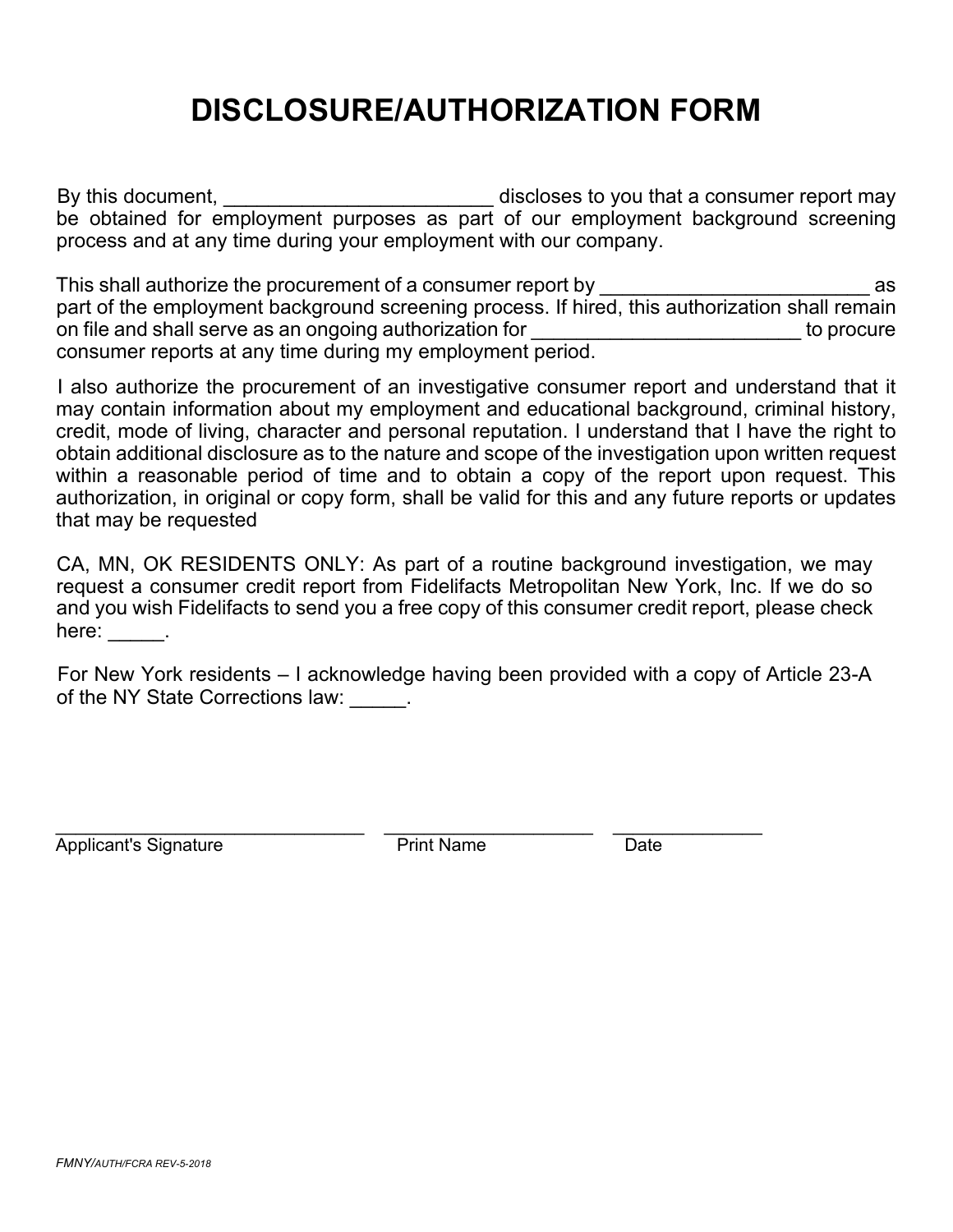# **DISCLOSURE/AUTHORIZATION FORM**

By this document, \_\_\_\_\_\_\_\_\_\_\_\_\_\_\_\_\_\_\_\_\_\_\_\_\_\_\_\_\_\_\_ discloses to you that a consumer report may be obtained for employment purposes as part of our employment background screening process and at any time during your employment with our company.

This shall authorize the procurement of a consumer report by  $\overline{\phantom{a}}$  as part of the employment background screening process. If hired, this authorization shall remain on file and shall serve as an ongoing authorization for **EXACCO EXACCO EXACCO EXACCO EXACCO EXACCO EXACCO EXACCO** consumer reports at any time during my employment period.

I also authorize the procurement of an investigative consumer report and understand that it may contain information about my employment and educational background, criminal history, credit, mode of living, character and personal reputation. I understand that I have the right to obtain additional disclosure as to the nature and scope of the investigation upon written request within a reasonable period of time and to obtain a copy of the report upon request. This authorization, in original or copy form, shall be valid for this and any future reports or updates that may be requested

CA, MN, OK RESIDENTS ONLY: As part of a routine background investigation, we may request a consumer credit report from Fidelifacts Metropolitan New York, Inc. If we do so and you wish Fidelifacts to send you a free copy of this consumer credit report, please check here: There:

For New York residents – I acknowledge having been provided with a copy of Article 23-A of the NY State Corrections law: The NY State Corrections law:

Applicant's Signature **Print Name** Date

 $\_$  ,  $\_$  ,  $\_$  ,  $\_$  ,  $\_$  ,  $\_$  ,  $\_$  ,  $\_$  ,  $\_$  ,  $\_$  ,  $\_$  ,  $\_$  ,  $\_$  ,  $\_$  ,  $\_$  ,  $\_$  ,  $\_$  ,  $\_$  ,  $\_$  ,  $\_$  ,  $\_$  ,  $\_$  ,  $\_$  ,  $\_$  ,  $\_$  ,  $\_$  ,  $\_$  ,  $\_$  ,  $\_$  ,  $\_$  ,  $\_$  ,  $\_$  ,  $\_$  ,  $\_$  ,  $\_$  ,  $\_$  ,  $\_$  ,